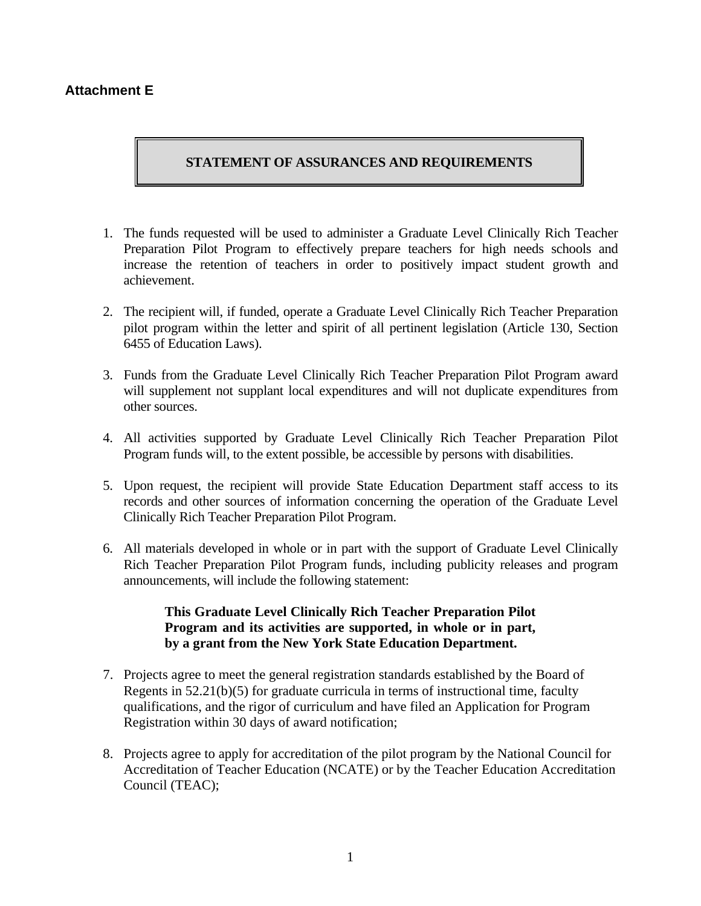## **Attachment E**

## **STATEMENT OF ASSURANCES AND REQUIREMENTS**

- 1. The funds requested will be used to administer a Graduate Level Clinically Rich Teacher Preparation Pilot Program to effectively prepare teachers for high needs schools and increase the retention of teachers in order to positively impact student growth and achievement.
- 2. The recipient will, if funded, operate a Graduate Level Clinically Rich Teacher Preparation pilot program within the letter and spirit of all pertinent legislation (Article 130, Section 6455 of Education Laws).
- 3. Funds from the Graduate Level Clinically Rich Teacher Preparation Pilot Program award will supplement not supplant local expenditures and will not duplicate expenditures from other sources.
- 4. All activities supported by Graduate Level Clinically Rich Teacher Preparation Pilot Program funds will, to the extent possible, be accessible by persons with disabilities.
- 5. Upon request, the recipient will provide State Education Department staff access to its records and other sources of information concerning the operation of the Graduate Level Clinically Rich Teacher Preparation Pilot Program.
- 6. All materials developed in whole or in part with the support of Graduate Level Clinically Rich Teacher Preparation Pilot Program funds, including publicity releases and program announcements, will include the following statement:

## **This Graduate Level Clinically Rich Teacher Preparation Pilot Program and its activities are supported, in whole or in part, by a grant from the New York State Education Department.**

- 7. Projects agree to meet the general registration standards established by the Board of Regents in 52.21(b)(5) for graduate curricula in terms of instructional time, faculty qualifications, and the rigor of curriculum and have filed an Application for Program Registration within 30 days of award notification;
- 8. Projects agree to apply for accreditation of the pilot program by the National Council for Accreditation of Teacher Education (NCATE) or by the Teacher Education Accreditation Council (TEAC);